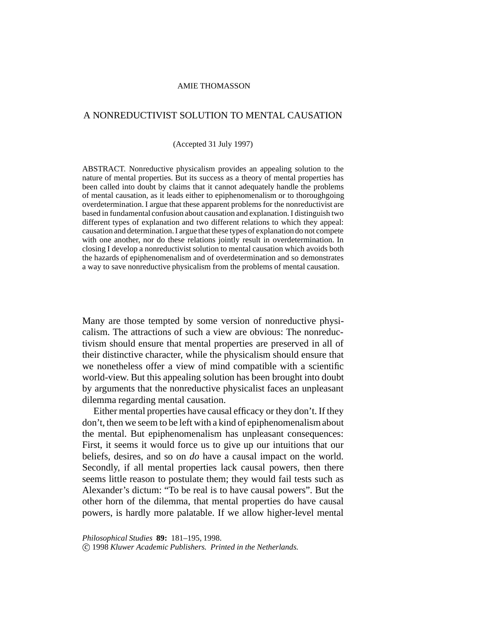# A NONREDUCTIVIST SOLUTION TO MENTAL CAUSATION

## (Accepted 31 July 1997)

ABSTRACT. Nonreductive physicalism provides an appealing solution to the nature of mental properties. But its success as a theory of mental properties has been called into doubt by claims that it cannot adequately handle the problems of mental causation, as it leads either to epiphenomenalism or to thoroughgoing overdetermination. I argue that these apparent problems for the nonreductivist are based in fundamental confusion about causation and explanation. I distinguish two different types of explanation and two different relations to which they appeal: causation and determination. I argue that these types of explanation do not compete with one another, nor do these relations jointly result in overdetermination. In closing I develop a nonreductivist solution to mental causation which avoids both the hazards of epiphenomenalism and of overdetermination and so demonstrates a way to save nonreductive physicalism from the problems of mental causation.

Many are those tempted by some version of nonreductive physicalism. The attractions of such a view are obvious: The nonreductivism should ensure that mental properties are preserved in all of their distinctive character, while the physicalism should ensure that we nonetheless offer a view of mind compatible with a scientific world-view. But this appealing solution has been brought into doubt by arguments that the nonreductive physicalist faces an unpleasant dilemma regarding mental causation.

Either mental properties have causal efficacy or they don't. If they don't, then we seem to be left with a kind of epiphenomenalism about the mental. But epiphenomenalism has unpleasant consequences: First, it seems it would force us to give up our intuitions that our beliefs, desires, and so on *do* have a causal impact on the world. Secondly, if all mental properties lack causal powers, then there seems little reason to postulate them; they would fail tests such as Alexander's dictum: "To be real is to have causal powers". But the other horn of the dilemma, that mental properties do have causal powers, is hardly more palatable. If we allow higher-level mental

*Philosophical Studies* **89:** 181–195, 1998. c 1998 *Kluwer Academic Publishers. Printed in the Netherlands.*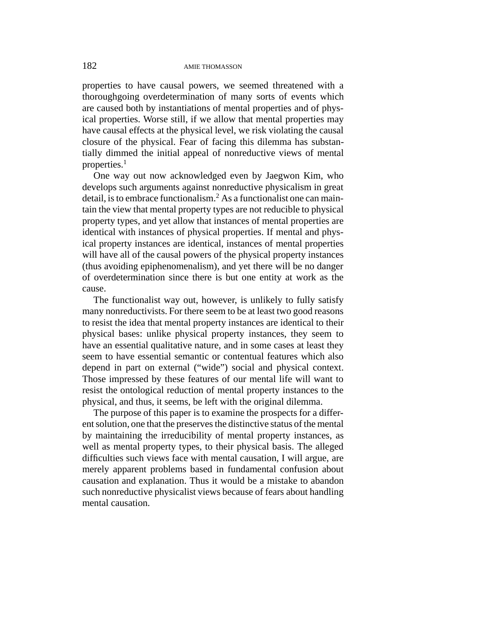properties to have causal powers, we seemed threatened with a thoroughgoing overdetermination of many sorts of events which are caused both by instantiations of mental properties and of physical properties. Worse still, if we allow that mental properties may have causal effects at the physical level, we risk violating the causal closure of the physical. Fear of facing this dilemma has substantially dimmed the initial appeal of nonreductive views of mental properties.<sup>1</sup>

One way out now acknowledged even by Jaegwon Kim, who develops such arguments against nonreductive physicalism in great detail, is to embrace functionalism.<sup>2</sup> As a functionalist one can maintain the view that mental property types are not reducible to physical property types, and yet allow that instances of mental properties are identical with instances of physical properties. If mental and physical property instances are identical, instances of mental properties will have all of the causal powers of the physical property instances (thus avoiding epiphenomenalism), and yet there will be no danger of overdetermination since there is but one entity at work as the cause.

The functionalist way out, however, is unlikely to fully satisfy many nonreductivists. For there seem to be at least two good reasons to resist the idea that mental property instances are identical to their physical bases: unlike physical property instances, they seem to have an essential qualitative nature, and in some cases at least they seem to have essential semantic or contentual features which also depend in part on external ("wide") social and physical context. Those impressed by these features of our mental life will want to resist the ontological reduction of mental property instances to the physical, and thus, it seems, be left with the original dilemma.

The purpose of this paper is to examine the prospects for a different solution, one that the preserves the distinctive status of the mental by maintaining the irreducibility of mental property instances, as well as mental property types, to their physical basis. The alleged difficulties such views face with mental causation, I will argue, are merely apparent problems based in fundamental confusion about causation and explanation. Thus it would be a mistake to abandon such nonreductive physicalist views because of fears about handling mental causation.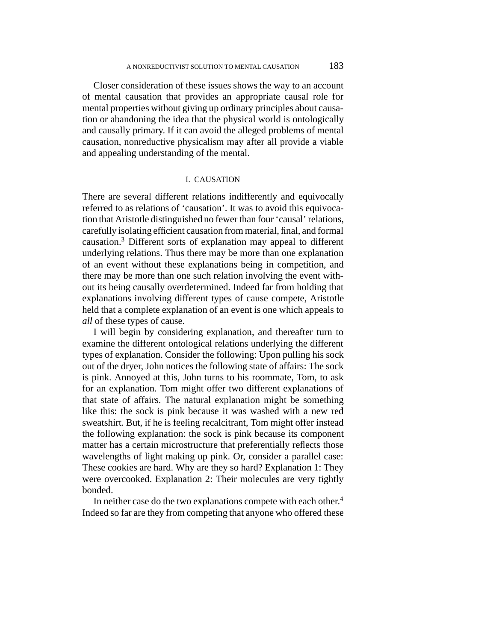Closer consideration of these issues shows the way to an account of mental causation that provides an appropriate causal role for mental properties without giving up ordinary principles about causation or abandoning the idea that the physical world is ontologically and causally primary. If it can avoid the alleged problems of mental causation, nonreductive physicalism may after all provide a viable and appealing understanding of the mental.

## I. CAUSATION

There are several different relations indifferently and equivocally referred to as relations of 'causation'. It was to avoid this equivocation that Aristotle distinguished no fewer than four 'causal' relations, carefully isolating efficient causation from material, final, and formal causation.3 Different sorts of explanation may appeal to different underlying relations. Thus there may be more than one explanation of an event without these explanations being in competition, and there may be more than one such relation involving the event without its being causally overdetermined. Indeed far from holding that explanations involving different types of cause compete, Aristotle held that a complete explanation of an event is one which appeals to *all* of these types of cause.

I will begin by considering explanation, and thereafter turn to examine the different ontological relations underlying the different types of explanation. Consider the following: Upon pulling his sock out of the dryer, John notices the following state of affairs: The sock is pink. Annoyed at this, John turns to his roommate, Tom, to ask for an explanation. Tom might offer two different explanations of that state of affairs. The natural explanation might be something like this: the sock is pink because it was washed with a new red sweatshirt. But, if he is feeling recalcitrant, Tom might offer instead the following explanation: the sock is pink because its component matter has a certain microstructure that preferentially reflects those wavelengths of light making up pink. Or, consider a parallel case: These cookies are hard. Why are they so hard? Explanation 1: They were overcooked. Explanation 2: Their molecules are very tightly bonded.

In neither case do the two explanations compete with each other.<sup>4</sup> Indeed so far are they from competing that anyone who offered these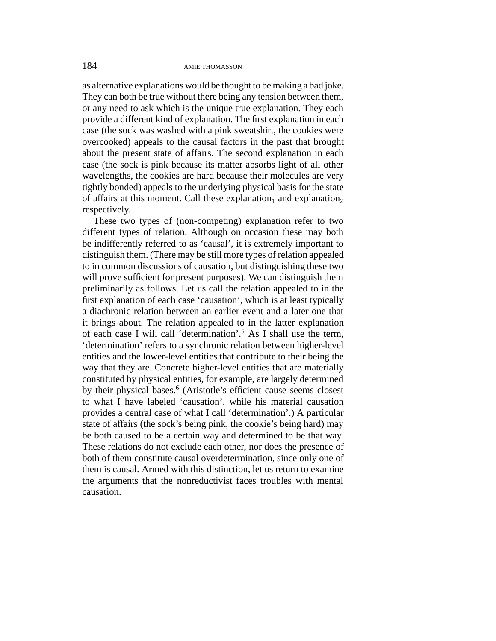as alternative explanations would be thought to be making a bad joke. They can both be true without there being any tension between them, or any need to ask which is the unique true explanation. They each provide a different kind of explanation. The first explanation in each case (the sock was washed with a pink sweatshirt, the cookies were overcooked) appeals to the causal factors in the past that brought about the present state of affairs. The second explanation in each case (the sock is pink because its matter absorbs light of all other wavelengths, the cookies are hard because their molecules are very tightly bonded) appeals to the underlying physical basis for the state of affairs at this moment. Call these explanation<sub>1</sub> and explanation<sub>2</sub> respectively.

These two types of (non-competing) explanation refer to two different types of relation. Although on occasion these may both be indifferently referred to as 'causal', it is extremely important to distinguish them. (There may be still more types of relation appealed to in common discussions of causation, but distinguishing these two will prove sufficient for present purposes). We can distinguish them preliminarily as follows. Let us call the relation appealed to in the first explanation of each case 'causation', which is at least typically a diachronic relation between an earlier event and a later one that it brings about. The relation appealed to in the latter explanation of each case I will call 'determination'.<sup>5</sup> As I shall use the term, 'determination' refers to a synchronic relation between higher-level entities and the lower-level entities that contribute to their being the way that they are. Concrete higher-level entities that are materially constituted by physical entities, for example, are largely determined by their physical bases.<sup>6</sup> (Aristotle's efficient cause seems closest) to what I have labeled 'causation', while his material causation provides a central case of what I call 'determination'.) A particular state of affairs (the sock's being pink, the cookie's being hard) may be both caused to be a certain way and determined to be that way. These relations do not exclude each other, nor does the presence of both of them constitute causal overdetermination, since only one of them is causal. Armed with this distinction, let us return to examine the arguments that the nonreductivist faces troubles with mental causation.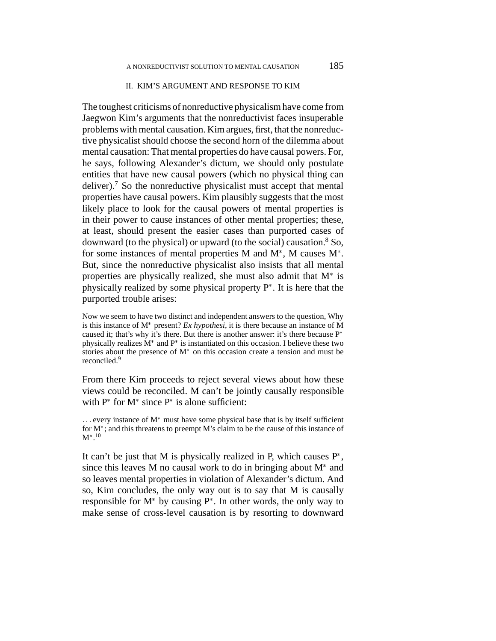### II. KIM'S ARGUMENT AND RESPONSE TO KIM

The toughest criticisms of nonreductive physicalism have come from Jaegwon Kim's arguments that the nonreductivist faces insuperable problems with mental causation. Kim argues, first, that the nonreductive physicalist should choose the second horn of the dilemma about mental causation: That mental properties do have causal powers. For, he says, following Alexander's dictum, we should only postulate entities that have new causal powers (which no physical thing can deliver).<sup>7</sup> So the nonreductive physicalist must accept that mental properties have causal powers. Kim plausibly suggests that the most likely place to look for the causal powers of mental properties is in their power to cause instances of other mental properties; these, at least, should present the easier cases than purported cases of downward (to the physical) or upward (to the social) causation. $8$  So, for some instances of mental properties M and  $M^*$ , M causes  $M^*$ . But, since the nonreductive physicalist also insists that all mental properties are physically realized, she must also admit that M is physically realized by some physical property P . It is here that the purported trouble arises:

Now we seem to have two distinct and independent answers to the question, Why is this instance of M present? *Ex hypothesi*, it is there because an instance of M caused it; that's why it's there. But there is another answer: it's there because  $P^*$ physically realizes  $M^*$  and  $P^*$  is instantiated on this occasion. I believe these two stories about the presence of  $M^*$  on this occasion create a tension and must be reconciled.<sup>9</sup>

From there Kim proceeds to reject several views about how these views could be reconciled. M can't be jointly causally responsible with  $P^*$  for  $M^*$  since  $P^*$  is alone sufficient:

 $\ldots$  every instance of  $M^*$  must have some physical base that is by itself sufficient for M<sup>\*</sup>; and this threatens to preempt M's claim to be the cause of this instance of  $\mathbf{M}^*$ . $^{10}$ 

It can't be just that M is physically realized in P, which causes  $P^*$ , since this leaves M no causal work to do in bringing about  $M^*$  and so leaves mental properties in violation of Alexander's dictum. And so, Kim concludes, the only way out is to say that M is causally responsible for  $M^*$  by causing  $P^*$ . In other words, the only way to make sense of cross-level causation is by resorting to downward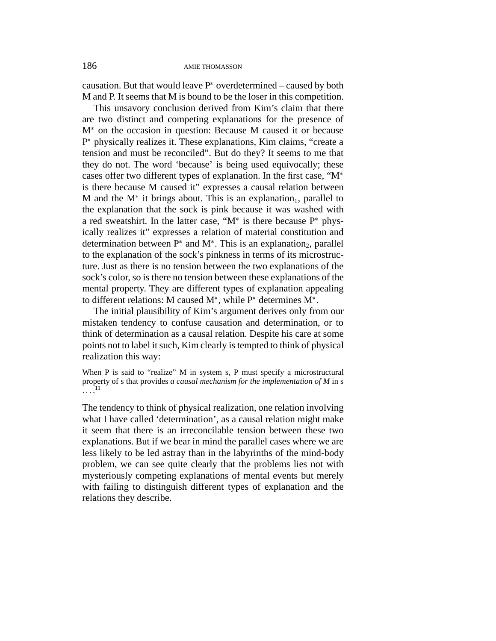causation. But that would leave  $P^*$  overdetermined – caused by both M and P. It seems that M is bound to be the loser in this competition.

This unsavory conclusion derived from Kim's claim that there are two distinct and competing explanations for the presence of M<sup>\*</sup> on the occasion in question: Because M caused it or because P<sup>\*</sup> physically realizes it. These explanations, Kim claims, "create a tension and must be reconciled". But do they? It seems to me that they do not. The word 'because' is being used equivocally; these cases offer two different types of explanation. In the first case, "M is there because M caused it" expresses a causal relation between M and the  $M^*$  it brings about. This is an explanation<sub>1</sub>, parallel to the explanation that the sock is pink because it was washed with a red sweatshirt. In the latter case, " $M^*$  is there because  $P^*$  physically realizes it" expresses a relation of material constitution and determination between  $P^*$  and  $M^*$ . This is an explanation<sub>2</sub>, parallel to the explanation of the sock's pinkness in terms of its microstructure. Just as there is no tension between the two explanations of the sock's color, so is there no tension between these explanations of the mental property. They are different types of explanation appealing to different relations: M caused  $M^*$ , while  $P^*$  determines  $M^*$ .

The initial plausibility of Kim's argument derives only from our mistaken tendency to confuse causation and determination, or to think of determination as a causal relation. Despite his care at some points not to label it such, Kim clearly is tempted to think of physical realization this way:

When P is said to "realize" M in system s, P must specify a microstructural property of s that provides *a causal mechanism for the implementation of M* in s  $\begin{bmatrix} 11 \end{bmatrix}$ 

The tendency to think of physical realization, one relation involving what I have called 'determination', as a causal relation might make it seem that there is an irreconcilable tension between these two explanations. But if we bear in mind the parallel cases where we are less likely to be led astray than in the labyrinths of the mind-body problem, we can see quite clearly that the problems lies not with mysteriously competing explanations of mental events but merely with failing to distinguish different types of explanation and the relations they describe.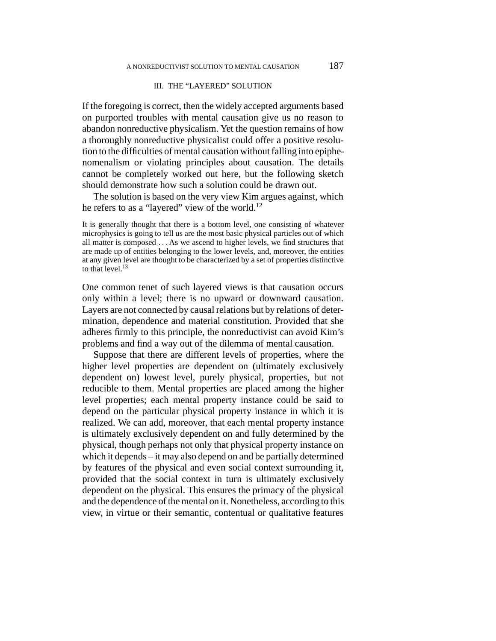## III. THE "LAYERED" SOLUTION

If the foregoing is correct, then the widely accepted arguments based on purported troubles with mental causation give us no reason to abandon nonreductive physicalism. Yet the question remains of how a thoroughly nonreductive physicalist could offer a positive resolution to the difficulties of mental causation without falling into epiphenomenalism or violating principles about causation. The details cannot be completely worked out here, but the following sketch should demonstrate how such a solution could be drawn out.

The solution is based on the very view Kim argues against, which he refers to as a "layered" view of the world.<sup>12</sup>

It is generally thought that there is a bottom level, one consisting of whatever microphysics is going to tell us are the most basic physical particles out of which all matter is composed ::: As we ascend to higher levels, we find structures that are made up of entities belonging to the lower levels, and, moreover, the entities at any given level are thought to be characterized by a set of properties distinctive to that level.<sup>13</sup>

One common tenet of such layered views is that causation occurs only within a level; there is no upward or downward causation. Layers are not connected by causal relations but by relations of determination, dependence and material constitution. Provided that she adheres firmly to this principle, the nonreductivist can avoid Kim's problems and find a way out of the dilemma of mental causation.

Suppose that there are different levels of properties, where the higher level properties are dependent on (ultimately exclusively dependent on) lowest level, purely physical, properties, but not reducible to them. Mental properties are placed among the higher level properties; each mental property instance could be said to depend on the particular physical property instance in which it is realized. We can add, moreover, that each mental property instance is ultimately exclusively dependent on and fully determined by the physical, though perhaps not only that physical property instance on which it depends – it may also depend on and be partially determined by features of the physical and even social context surrounding it, provided that the social context in turn is ultimately exclusively dependent on the physical. This ensures the primacy of the physical and the dependence of the mental on it. Nonetheless, according to this view, in virtue or their semantic, contentual or qualitative features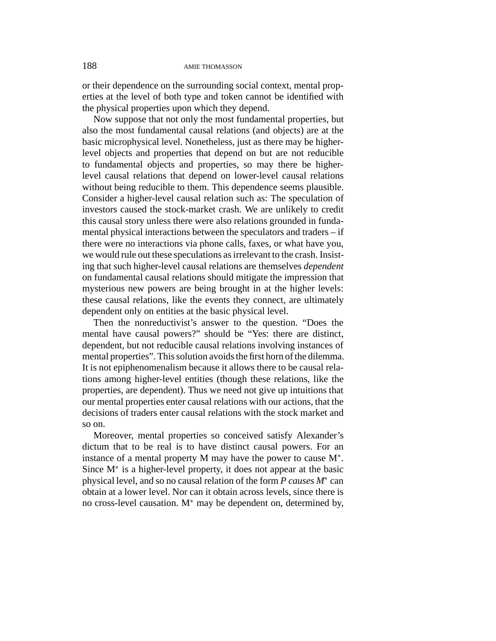or their dependence on the surrounding social context, mental properties at the level of both type and token cannot be identified with the physical properties upon which they depend.

Now suppose that not only the most fundamental properties, but also the most fundamental causal relations (and objects) are at the basic microphysical level. Nonetheless, just as there may be higherlevel objects and properties that depend on but are not reducible to fundamental objects and properties, so may there be higherlevel causal relations that depend on lower-level causal relations without being reducible to them. This dependence seems plausible. Consider a higher-level causal relation such as: The speculation of investors caused the stock-market crash. We are unlikely to credit this causal story unless there were also relations grounded in fundamental physical interactions between the speculators and traders – if there were no interactions via phone calls, faxes, or what have you, we would rule out these speculations as irrelevant to the crash. Insisting that such higher-level causal relations are themselves *dependent* on fundamental causal relations should mitigate the impression that mysterious new powers are being brought in at the higher levels: these causal relations, like the events they connect, are ultimately dependent only on entities at the basic physical level.

Then the nonreductivist's answer to the question. "Does the mental have causal powers?" should be "Yes: there are distinct, dependent, but not reducible causal relations involving instances of mental properties". This solution avoids the first horn of the dilemma. It is not epiphenomenalism because it allows there to be causal relations among higher-level entities (though these relations, like the properties, are dependent). Thus we need not give up intuitions that our mental properties enter causal relations with our actions, that the decisions of traders enter causal relations with the stock market and so on.

Moreover, mental properties so conceived satisfy Alexander's dictum that to be real is to have distinct causal powers. For an instance of a mental property M may have the power to cause M . Since M<sup>\*</sup> is a higher-level property, it does not appear at the basic physical level, and so no causal relation of the form *P causes M*<sup>\*</sup> can obtain at a lower level. Nor can it obtain across levels, since there is no cross-level causation. M may be dependent on, determined by,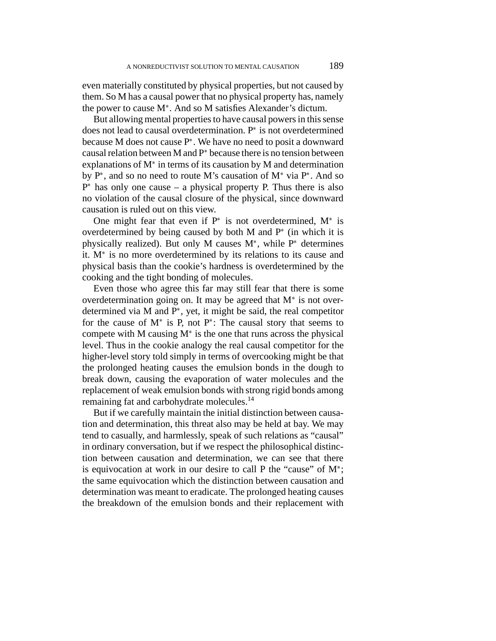even materially constituted by physical properties, but not caused by them. So M has a causal power that no physical property has, namely the power to cause M . And so M satisfies Alexander's dictum.

But allowing mental properties to have causal powers in this sense does not lead to causal overdetermination. P is not overdetermined because M does not cause P . We have no need to posit a downward causal relation between M and P because there is no tension between explanations of  $M^*$  in terms of its causation by M and determination by  $P^*$ , and so no need to route M's causation of M<sup>\*</sup> via  $P^*$ . And so  $P^*$  has only one cause – a physical property P. Thus there is also no violation of the causal closure of the physical, since downward causation is ruled out on this view.

One might fear that even if  $P^*$  is not overdetermined,  $M^*$  is overdetermined by being caused by both M and  $P^*$  (in which it is physically realized). But only M causes  $M^*$ , while  $P^*$  determines it. M<sup>\*</sup> is no more overdetermined by its relations to its cause and physical basis than the cookie's hardness is overdetermined by the cooking and the tight bonding of molecules.

Even those who agree this far may still fear that there is some overdetermination going on. It may be agreed that  $M^*$  is not overdetermined via M and P , yet, it might be said, the real competitor for the cause of  $M^*$  is P, not  $P^*$ : The causal story that seems to compete with M causing  $M^*$  is the one that runs across the physical level. Thus in the cookie analogy the real causal competitor for the higher-level story told simply in terms of overcooking might be that the prolonged heating causes the emulsion bonds in the dough to break down, causing the evaporation of water molecules and the replacement of weak emulsion bonds with strong rigid bonds among remaining fat and carbohydrate molecules.14

But if we carefully maintain the initial distinction between causation and determination, this threat also may be held at bay. We may tend to casually, and harmlessly, speak of such relations as "causal" in ordinary conversation, but if we respect the philosophical distinction between causation and determination, we can see that there is equivocation at work in our desire to call P the "cause" of  $M^*$ ; the same equivocation which the distinction between causation and determination was meant to eradicate. The prolonged heating causes the breakdown of the emulsion bonds and their replacement with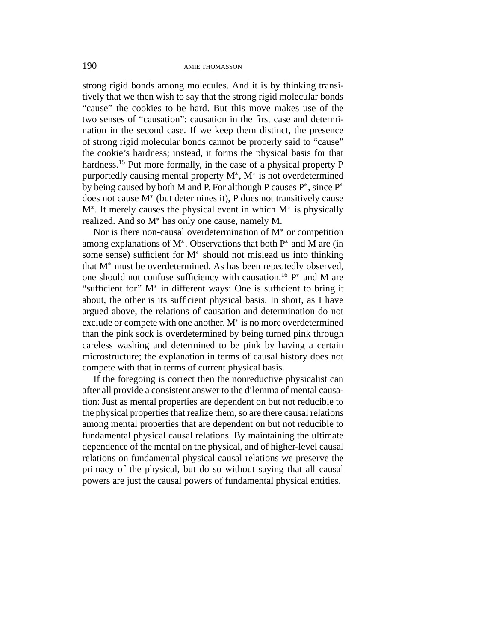strong rigid bonds among molecules. And it is by thinking transitively that we then wish to say that the strong rigid molecular bonds "cause" the cookies to be hard. But this move makes use of the two senses of "causation": causation in the first case and determination in the second case. If we keep them distinct, the presence of strong rigid molecular bonds cannot be properly said to "cause" the cookie's hardness; instead, it forms the physical basis for that hardness.<sup>15</sup> Put more formally, in the case of a physical property P purportedly causing mental property M<sup>\*</sup>, M<sup>\*</sup> is not overdetermined by being caused by both M and P. For although P causes  $P^*$ , since  $P^*$ does not cause M (but determines it), P does not transitively cause M<sup>\*</sup>. It merely causes the physical event in which M<sup>\*</sup> is physically realized. And so M<sup>\*</sup> has only one cause, namely M.

Nor is there non-causal overdetermination of  $M^*$  or competition among explanations of  $M^*$ . Observations that both  $P^*$  and M are (in some sense) sufficient for M<sup>\*</sup> should not mislead us into thinking that M<sup>\*</sup> must be overdetermined. As has been repeatedly observed, one should not confuse sufficiency with causation.<sup>16</sup>  $P^*$  and M are "sufficient for"  $M^*$  in different ways: One is sufficient to bring it about, the other is its sufficient physical basis. In short, as I have argued above, the relations of causation and determination do not exclude or compete with one another.  $M^*$  is no more overdetermined than the pink sock is overdetermined by being turned pink through careless washing and determined to be pink by having a certain microstructure; the explanation in terms of causal history does not compete with that in terms of current physical basis.

If the foregoing is correct then the nonreductive physicalist can after all provide a consistent answer to the dilemma of mental causation: Just as mental properties are dependent on but not reducible to the physical properties that realize them, so are there causal relations among mental properties that are dependent on but not reducible to fundamental physical causal relations. By maintaining the ultimate dependence of the mental on the physical, and of higher-level causal relations on fundamental physical causal relations we preserve the primacy of the physical, but do so without saying that all causal powers are just the causal powers of fundamental physical entities.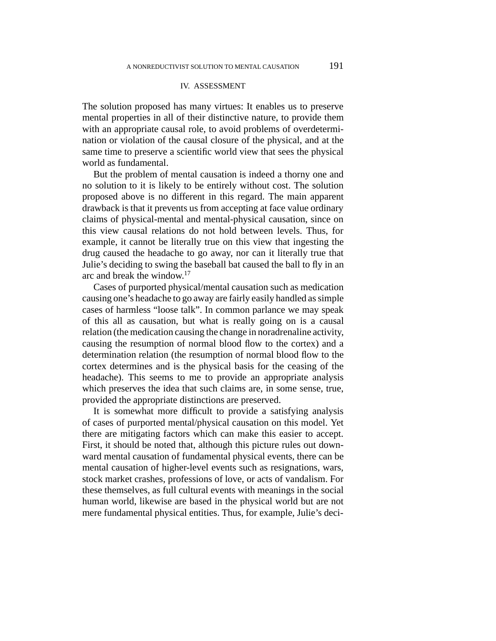## IV. ASSESSMENT

The solution proposed has many virtues: It enables us to preserve mental properties in all of their distinctive nature, to provide them with an appropriate causal role, to avoid problems of overdetermination or violation of the causal closure of the physical, and at the same time to preserve a scientific world view that sees the physical world as fundamental.

But the problem of mental causation is indeed a thorny one and no solution to it is likely to be entirely without cost. The solution proposed above is no different in this regard. The main apparent drawback is that it prevents us from accepting at face value ordinary claims of physical-mental and mental-physical causation, since on this view causal relations do not hold between levels. Thus, for example, it cannot be literally true on this view that ingesting the drug caused the headache to go away, nor can it literally true that Julie's deciding to swing the baseball bat caused the ball to fly in an arc and break the window.17

Cases of purported physical/mental causation such as medication causing one's headache to go away are fairly easily handled as simple cases of harmless "loose talk". In common parlance we may speak of this all as causation, but what is really going on is a causal relation (the medication causing the change in noradrenaline activity, causing the resumption of normal blood flow to the cortex) and a determination relation (the resumption of normal blood flow to the cortex determines and is the physical basis for the ceasing of the headache). This seems to me to provide an appropriate analysis which preserves the idea that such claims are, in some sense, true, provided the appropriate distinctions are preserved.

It is somewhat more difficult to provide a satisfying analysis of cases of purported mental/physical causation on this model. Yet there are mitigating factors which can make this easier to accept. First, it should be noted that, although this picture rules out downward mental causation of fundamental physical events, there can be mental causation of higher-level events such as resignations, wars, stock market crashes, professions of love, or acts of vandalism. For these themselves, as full cultural events with meanings in the social human world, likewise are based in the physical world but are not mere fundamental physical entities. Thus, for example, Julie's deci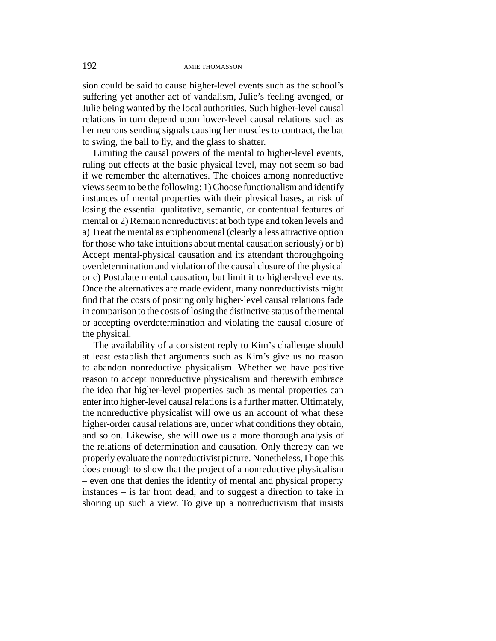sion could be said to cause higher-level events such as the school's suffering yet another act of vandalism, Julie's feeling avenged, or Julie being wanted by the local authorities. Such higher-level causal relations in turn depend upon lower-level causal relations such as her neurons sending signals causing her muscles to contract, the bat to swing, the ball to fly, and the glass to shatter.

Limiting the causal powers of the mental to higher-level events, ruling out effects at the basic physical level, may not seem so bad if we remember the alternatives. The choices among nonreductive views seem to be the following: 1) Choose functionalism and identify instances of mental properties with their physical bases, at risk of losing the essential qualitative, semantic, or contentual features of mental or 2) Remain nonreductivist at both type and token levels and a) Treat the mental as epiphenomenal (clearly a less attractive option for those who take intuitions about mental causation seriously) or b) Accept mental-physical causation and its attendant thoroughgoing overdetermination and violation of the causal closure of the physical or c) Postulate mental causation, but limit it to higher-level events. Once the alternatives are made evident, many nonreductivists might find that the costs of positing only higher-level causal relations fade in comparison to the costs of losing the distinctive status of the mental or accepting overdetermination and violating the causal closure of the physical.

The availability of a consistent reply to Kim's challenge should at least establish that arguments such as Kim's give us no reason to abandon nonreductive physicalism. Whether we have positive reason to accept nonreductive physicalism and therewith embrace the idea that higher-level properties such as mental properties can enter into higher-level causal relations is a further matter. Ultimately, the nonreductive physicalist will owe us an account of what these higher-order causal relations are, under what conditions they obtain, and so on. Likewise, she will owe us a more thorough analysis of the relations of determination and causation. Only thereby can we properly evaluate the nonreductivist picture. Nonetheless, I hope this does enough to show that the project of a nonreductive physicalism – even one that denies the identity of mental and physical property instances – is far from dead, and to suggest a direction to take in shoring up such a view. To give up a nonreductivism that insists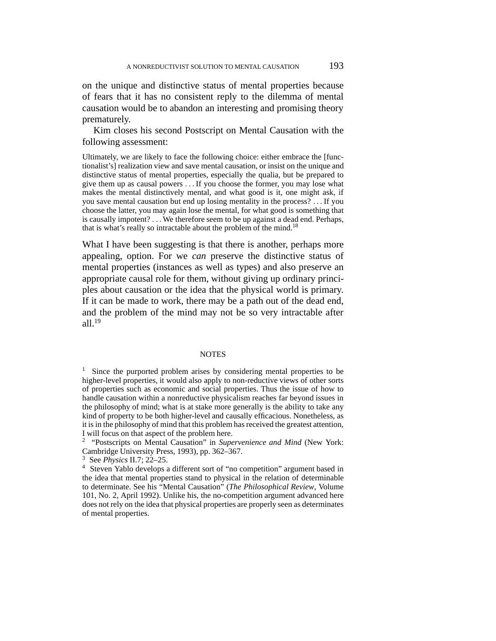on the unique and distinctive status of mental properties because of fears that it has no consistent reply to the dilemma of mental causation would be to abandon an interesting and promising theory prematurely.

Kim closes his second Postscript on Mental Causation with the following assessment:

Ultimately, we are likely to face the following choice: either embrace the [functionalist's] realization view and save mental causation, or insist on the unique and distinctive status of mental properties, especially the qualia, but be prepared to give them up as causal powers ::: If you choose the former, you may lose what makes the mental distinctively mental, and what good is it, one might ask, if you save mental causation but end up losing mentality in the process? If you choose the latter, you may again lose the mental, for what good is something that is causally impotent? We therefore seem to be up against a dead end. Perhaps, that is what's really so intractable about the problem of the mind.<sup>18</sup>

What I have been suggesting is that there is another, perhaps more appealing, option. For we *can* preserve the distinctive status of mental properties (instances as well as types) and also preserve an appropriate causal role for them, without giving up ordinary principles about causation or the idea that the physical world is primary. If it can be made to work, there may be a path out of the dead end, and the problem of the mind may not be so very intractable after all $1<sup>19</sup>$ 

#### **NOTES**

<sup>1</sup> Since the purported problem arises by considering mental properties to be higher-level properties, it would also apply to non-reductive views of other sorts of properties such as economic and social properties. Thus the issue of how to handle causation within a nonreductive physicalism reaches far beyond issues in the philosophy of mind; what is at stake more generally is the ability to take any kind of property to be both higher-level and causally efficacious. Nonetheless, as it is in the philosophy of mind that this problem has received the greatest attention, I will focus on that aspect of the problem here.

<sup>2</sup> "Postscripts on Mental Causation" in *Supervenience and Mind* (New York: Cambridge University Press, 1993), pp. 362–367.

<sup>3</sup> See *Physics* II.7; 22–25.

<sup>4</sup> Steven Yablo develops a different sort of "no competition" argument based in the idea that mental properties stand to physical in the relation of determinable to determinate. See his "Mental Causation" (*The Philosophical Review*, Volume 101, No. 2, April 1992). Unlike his, the no-competition argument advanced here does not rely on the idea that physical properties are properly seen as determinates of mental properties.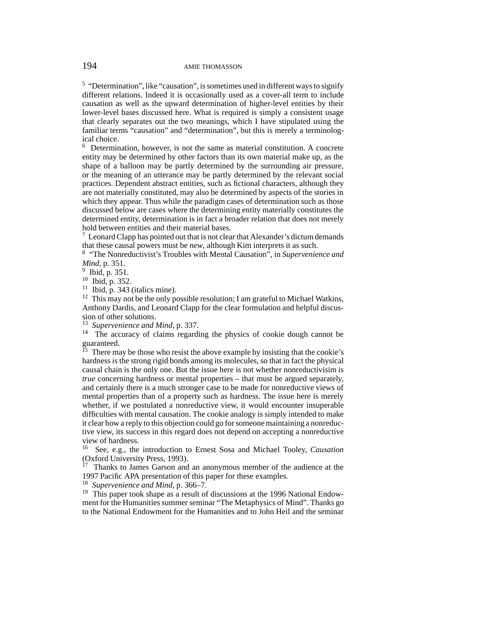<sup>5</sup> "Determination", like "causation", is sometimes used in different ways to signify different relations. Indeed it is occasionally used as a cover-all term to include causation as well as the upward determination of higher-level entities by their lower-level bases discussed here. What is required is simply a consistent usage that clearly separates out the two meanings, which I have stipulated using the familiar terms "causation" and "determination", but this is merely a terminological choice.

<sup>6</sup> Determination, however, is not the same as material constitution. A concrete entity may be determined by other factors than its own material make up, as the shape of a balloon may be partly determined by the surrounding air pressure, or the meaning of an utterance may be partly determined by the relevant social practices. Dependent abstract entities, such as fictional characters, although they are not materially constituted, may also be determined by aspects of the stories in which they appear. Thus while the paradigm cases of determination such as those discussed below are cases where the determining entity materially constitutes the determined entity, determination is in fact a broader relation that does not merely hold between entities and their material bases.

 $<sup>7</sup>$  Leonard Clapp has pointed out that is not clear that Alexander's dictum demands</sup> that these causal powers must be *new*, although Kim interprets it as such.

<sup>8</sup> "The Nonreductivist's Troubles with Mental Causation", in *Supervenience and Mind*, p. 351.

<sup>9</sup> Ibid, p. 351.

<sup>10</sup> Ibid, p. 352.

 $11$  Ibid, p. 343 (italics mine).

 $12$  This may not be the only possible resolution; I am grateful to Michael Watkins, Anthony Dardis, and Leonard Clapp for the clear formulation and helpful discussion of other solutions.

<sup>13</sup> *Supervenience and Mind*, p. 337.

<sup>14</sup> The accuracy of claims regarding the physics of cookie dough cannot be guaranteed.

 $\frac{15}{15}$  There may be those who resist the above example by insisting that the cookie's hardness*is* the strong rigid bonds among its molecules, so that in fact the physical causal chain is the only one. But the issue here is not whether nonreductivisim is *true* concerning hardness or mental properties – that must be argued separately, and certainly there is a much stronger case to be made for nonreductive views of mental properties than of a property such as hardness. The issue here is merely whether, if we postulated a nonreductive view, it would encounter insuperable difficulties with mental causation. The cookie analogy is simply intended to make it clear how a reply to this objection could go for someone maintaining a nonreductive view, its success in this regard does not depend on accepting a nonreductive view of hardness.

<sup>16</sup> See, e.g., the introduction to Ernest Sosa and Michael Tooley, *Causation* (Oxford University Press, 1993).<br> $^{17}$  There is 5

<sup>17</sup> Thanks to James Garson and an anonymous member of the audience at the 1997 Pacific APA presentation of this paper for these examples.

<sup>18</sup> *Supervenience and Mind*, p. 366–7.

 $19$  This paper took shape as a result of discussions at the 1996 National Endowment for the Humanities summer seminar "The Metaphysics of Mind". Thanks go to the National Endowment for the Humanities and to John Heil and the seminar